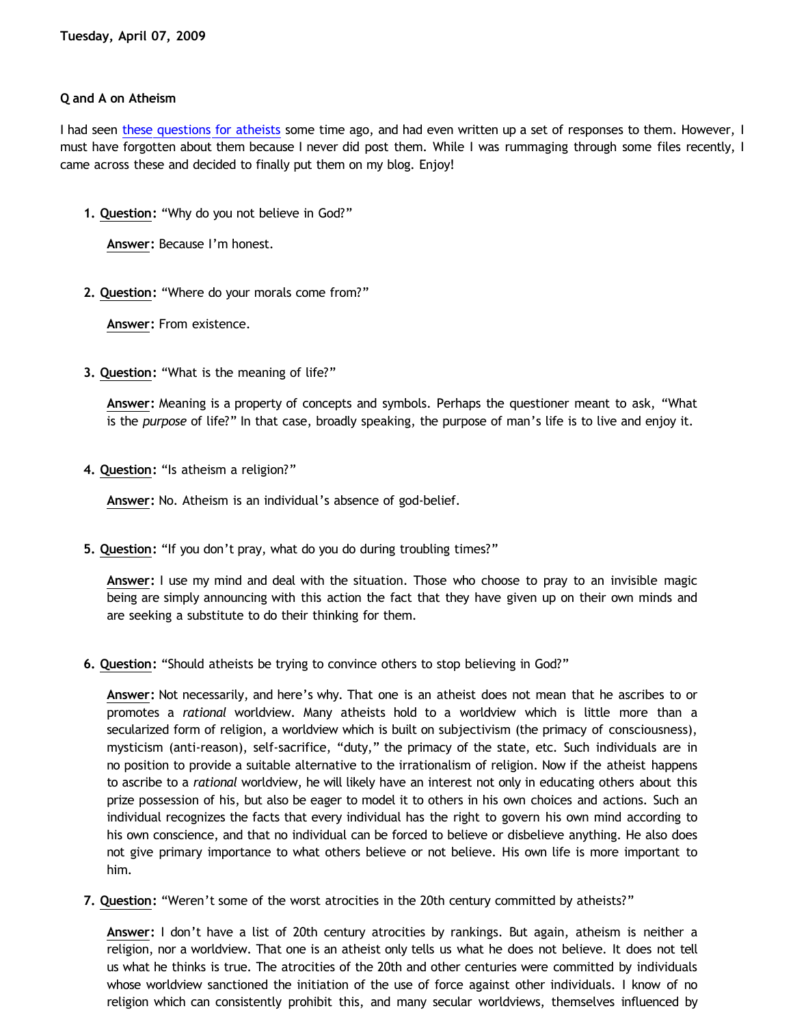# **Q and A on Atheism**

I had seen [these questions for atheists](http://friendlyatheist.com/2007/07/20/keep-them-short-and-sweet/) some time ago, and had even written up a set of responses to them. However, I must have forgotten about them because I never did post them. While I was rummaging through some files recently, I came across these and decided to finally put them on my blog. Enjoy!

**1. Question:** "Why do you not believe in God?"

**Answer:** Because I'm honest.

**2. Question:** "Where do your morals come from?"

**Answer:** From existence.

**3. Question:** "What is the meaning of life?"

**Answer:** Meaning is a property of concepts and symbols. Perhaps the questioner meant to ask, "What is the *purpose* of life?" In that case, broadly speaking, the purpose of man's life is to live and enjoy it.

**4. Question:** "Is atheism a religion?"

**Answer:** No. Atheism is an individual's absence of god-belief.

**5. Question:** "If you don't pray, what do you do during troubling times?"

**Answer:** I use my mind and deal with the situation. Those who choose to pray to an invisible magic being are simply announcing with this action the fact that they have given up on their own minds and are seeking a substitute to do their thinking for them.

**6. Question:** "Should atheists be trying to convince others to stop believing in God?"

**Answer:** Not necessarily, and here's why. That one is an atheist does not mean that he ascribes to or promotes a *rational* worldview. Many atheists hold to a worldview which is little more than a secularized form of religion, a worldview which is built on subjectivism (the primacy of consciousness), mysticism (anti-reason), self-sacrifice, "duty," the primacy of the state, etc. Such individuals are in no position to provide a suitable alternative to the irrationalism of religion. Now if the atheist happens to ascribe to a *rational* worldview, he will likely have an interest not only in educating others about this prize possession of his, but also be eager to model it to others in his own choices and actions. Such an individual recognizes the facts that every individual has the right to govern his own mind according to his own conscience, and that no individual can be forced to believe or disbelieve anything. He also does not give primary importance to what others believe or not believe. His own life is more important to him.

**7. Question:** "Weren't some of the worst atrocities in the 20th century committed by atheists?"

**Answer:** I don't have a list of 20th century atrocities by rankings. But again, atheism is neither a religion, nor a worldview. That one is an atheist only tells us what he does not believe. It does not tell us what he thinks is true. The atrocities of the 20th and other centuries were committed by individuals whose worldview sanctioned the initiation of the use of force against other individuals. I know of no religion which can consistently prohibit this, and many secular worldviews, themselves influenced by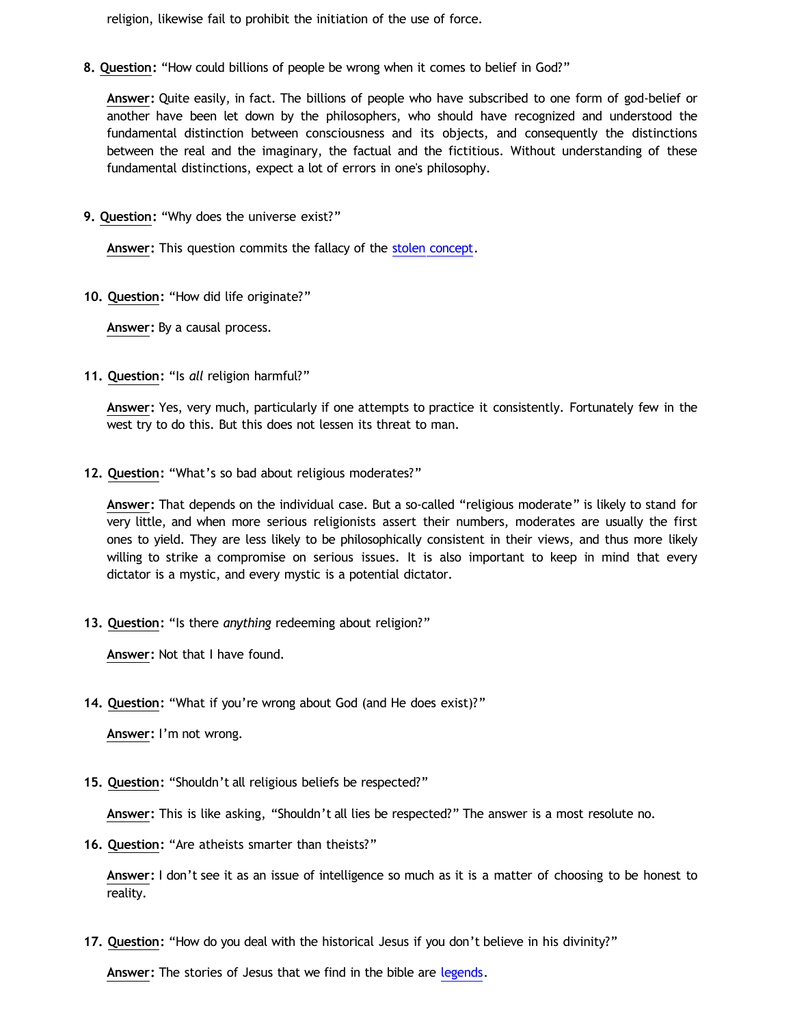religion, likewise fail to prohibit the initiation of the use of force.

**8. Question:** "How could billions of people be wrong when it comes to belief in God?"

**Answer:** Quite easily, in fact. The billions of people who have subscribed to one form of god-belief or another have been let down by the philosophers, who should have recognized and understood the fundamental distinction between consciousness and its objects, and consequently the distinctions between the real and the imaginary, the factual and the fictitious. Without understanding of these fundamental distinctions, expect a lot of errors in one's philosophy.

**9. Question:** "Why does the universe exist?"

**Answer:** This question commits the fallacy of the [stolen concept](http://bahnsenburner.blogspot.com/2008/06/stolen-concepts-and-intellectual.html).

**10. Question:** "How did life originate?"

**Answer:** By a causal process.

**11. Question:** "Is *all* religion harmful?"

**Answer:** Yes, very much, particularly if one attempts to practice it consistently. Fortunately few in the west try to do this. But this does not lessen its threat to man.

**12. Question:** "What's so bad about religious moderates?"

**Answer:** That depends on the individual case. But a so-called "religious moderate" is likely to stand for very little, and when more serious religionists assert their numbers, moderates are usually the first ones to yield. They are less likely to be philosophically consistent in their views, and thus more likely willing to strike a compromise on serious issues. It is also important to keep in mind that every dictator is a mystic, and every mystic is a potential dictator.

**13. Question:** "Is there *anything* redeeming about religion?"

**Answer:** Not that I have found.

**14. Question:** "What if you're wrong about God (and He does exist)?"

**Answer:** I'm not wrong.

**15. Question:** "Shouldn't all religious beliefs be respected?"

**Answer:** This is like asking, "Shouldn't all lies be respected?" The answer is a most resolute no.

**16. Question:** "Are atheists smarter than theists?"

**Answer:** I don't see it as an issue of intelligence so much as it is a matter of choosing to be honest to reality.

**17. Question:** "How do you deal with the historical Jesus if you don't believe in his divinity?"

**Answer:** The stories of Jesus that we find in the bible are [legends.](http://bahnsenburner.blogspot.com/search/label/Christian%20Legends)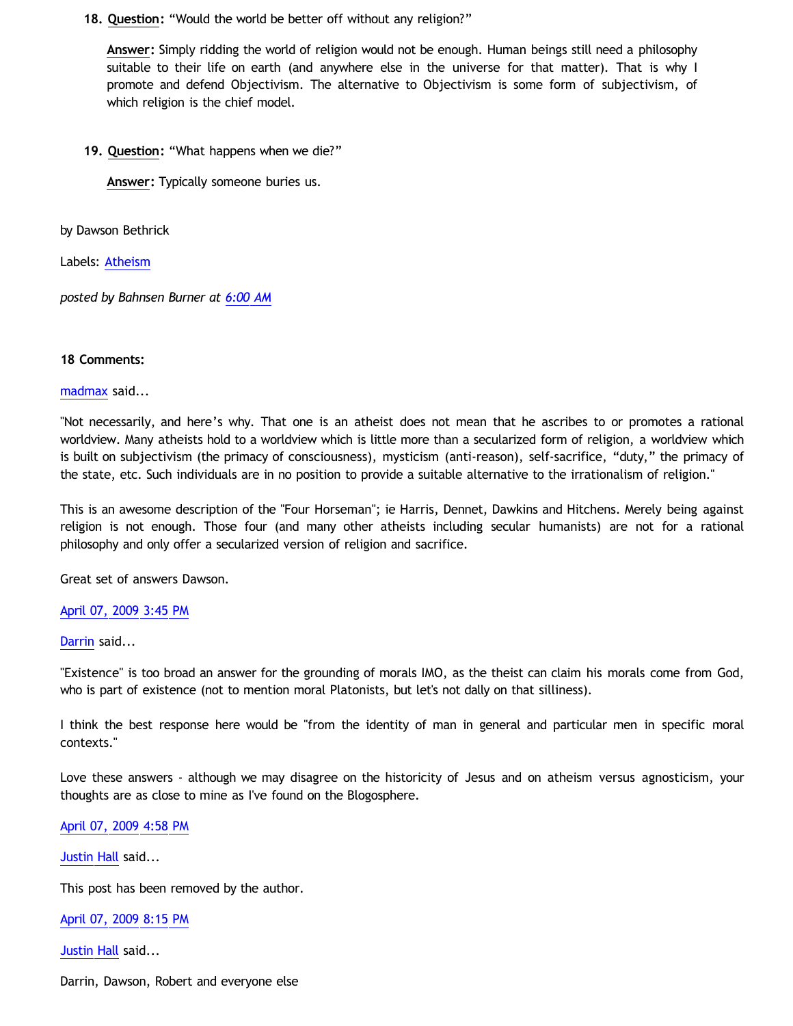**18. Question:** "Would the world be better off without any religion?"

**Answer:** Simply ridding the world of religion would not be enough. Human beings still need a philosophy suitable to their life on earth (and anywhere else in the universe for that matter). That is why I promote and defend Objectivism. The alternative to Objectivism is some form of subjectivism, of which religion is the chief model.

**19. Question:** "What happens when we die?"

**Answer:** Typically someone buries us.

by Dawson Bethrick

Labels: [Atheism](http://bahnsenburner.blogspot.com/search/label/Atheism)

*posted by Bahnsen Burner at [6:00 AM](http://bahnsenburner.blogspot.com/2009/04/q-and-on-atheism.html)*

## **18 Comments:**

[madmax](http://www.blogger.com/profile/14375140131881725965) said...

"Not necessarily, and here's why. That one is an atheist does not mean that he ascribes to or promotes a rational worldview. Many atheists hold to a worldview which is little more than a secularized form of religion, a worldview which is built on subjectivism (the primacy of consciousness), mysticism (anti-reason), self-sacrifice, "duty," the primacy of the state, etc. Such individuals are in no position to provide a suitable alternative to the irrationalism of religion."

This is an awesome description of the "Four Horseman"; ie Harris, Dennet, Dawkins and Hitchens. Merely being against religion is not enough. Those four (and many other atheists including secular humanists) are not for a rational philosophy and only offer a secularized version of religion and sacrifice.

Great set of answers Dawson.

### [April 07, 2009 3:45 PM](http://bahnsenburner.blogspot.com/2009/04/4597483319259316676)

[Darrin](http://www.blogger.com/profile/12757150483103267411) said...

"Existence" is too broad an answer for the grounding of morals IMO, as the theist can claim his morals come from God, who is part of existence (not to mention moral Platonists, but let's not dally on that silliness).

I think the best response here would be "from the identity of man in general and particular men in specific moral contexts."

Love these answers - although we may disagree on the historicity of Jesus and on atheism versus agnosticism, your thoughts are as close to mine as I've found on the Blogosphere.

[April 07, 2009 4:58 PM](http://bahnsenburner.blogspot.com/2009/04/2938846069913235424)

[Justin Hall](http://www.blogger.com/profile/17804641315202800289) said...

This post has been removed by the author.

[April 07, 2009 8:15 PM](http://bahnsenburner.blogspot.com/2009/04/3599413300616708793)

[Justin Hall](http://www.blogger.com/profile/17804641315202800289) said...

Darrin, Dawson, Robert and everyone else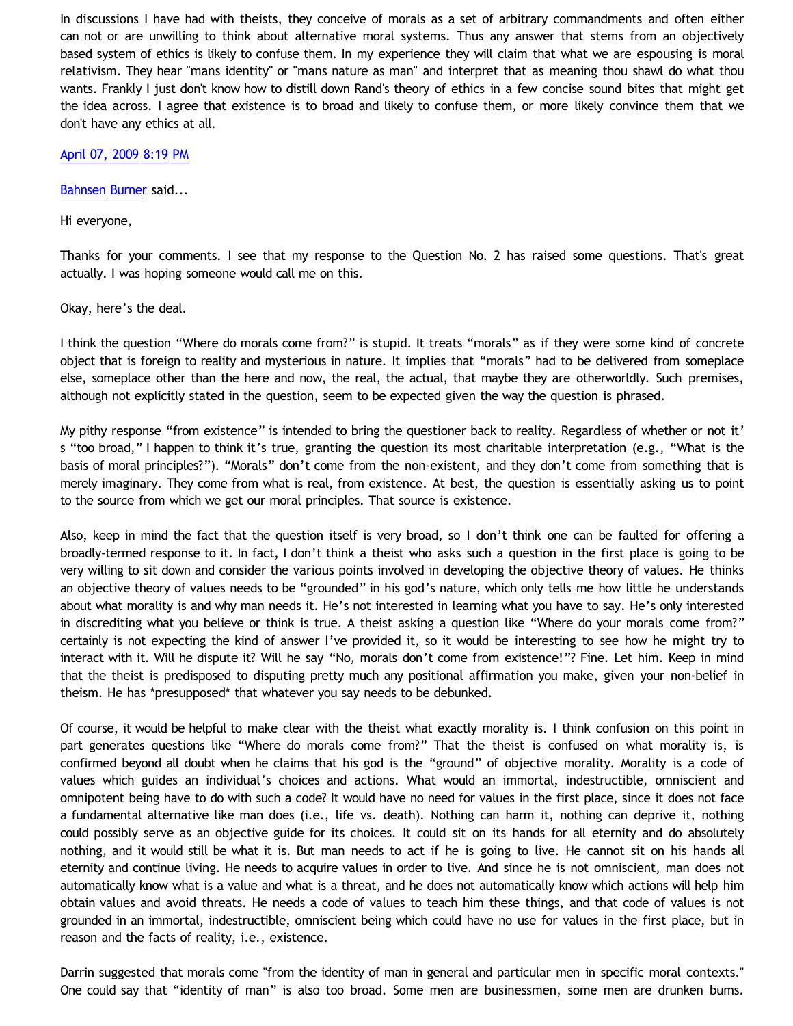In discussions I have had with theists, they conceive of morals as a set of arbitrary commandments and often either can not or are unwilling to think about alternative moral systems. Thus any answer that stems from an objectively based system of ethics is likely to confuse them. In my experience they will claim that what we are espousing is moral relativism. They hear "mans identity" or "mans nature as man" and interpret that as meaning thou shawl do what thou wants. Frankly I just don't know how to distill down Rand's theory of ethics in a few concise sound bites that might get the idea across. I agree that existence is to broad and likely to confuse them, or more likely convince them that we don't have any ethics at all.

[April 07, 2009 8:19 PM](http://bahnsenburner.blogspot.com/2009/04/5116744123963983997)

[Bahnsen Burner](http://www.blogger.com/profile/11030029491768748360) said...

Hi everyone,

Thanks for your comments. I see that my response to the Question No. 2 has raised some questions. That's great actually. I was hoping someone would call me on this.

Okay, here's the deal.

I think the question "Where do morals come from?" is stupid. It treats "morals" as if they were some kind of concrete object that is foreign to reality and mysterious in nature. It implies that "morals" had to be delivered from someplace else, someplace other than the here and now, the real, the actual, that maybe they are otherworldly. Such premises, although not explicitly stated in the question, seem to be expected given the way the question is phrased.

My pithy response "from existence" is intended to bring the questioner back to reality. Regardless of whether or not it' s "too broad," I happen to think it's true, granting the question its most charitable interpretation (e.g., "What is the basis of moral principles?"). "Morals" don't come from the non-existent, and they don't come from something that is merely imaginary. They come from what is real, from existence. At best, the question is essentially asking us to point to the source from which we get our moral principles. That source is existence.

Also, keep in mind the fact that the question itself is very broad, so I don't think one can be faulted for offering a broadly-termed response to it. In fact, I don't think a theist who asks such a question in the first place is going to be very willing to sit down and consider the various points involved in developing the objective theory of values. He thinks an objective theory of values needs to be "grounded" in his god's nature, which only tells me how little he understands about what morality is and why man needs it. He's not interested in learning what you have to say. He's only interested in discrediting what you believe or think is true. A theist asking a question like "Where do your morals come from?" certainly is not expecting the kind of answer I've provided it, so it would be interesting to see how he might try to interact with it. Will he dispute it? Will he say "No, morals don't come from existence!"? Fine. Let him. Keep in mind that the theist is predisposed to disputing pretty much any positional affirmation you make, given your non-belief in theism. He has \*presupposed\* that whatever you say needs to be debunked.

Of course, it would be helpful to make clear with the theist what exactly morality is. I think confusion on this point in part generates questions like "Where do morals come from?" That the theist is confused on what morality is, is confirmed beyond all doubt when he claims that his god is the "ground" of objective morality. Morality is a code of values which guides an individual's choices and actions. What would an immortal, indestructible, omniscient and omnipotent being have to do with such a code? It would have no need for values in the first place, since it does not face a fundamental alternative like man does (i.e., life vs. death). Nothing can harm it, nothing can deprive it, nothing could possibly serve as an objective guide for its choices. It could sit on its hands for all eternity and do absolutely nothing, and it would still be what it is. But man needs to act if he is going to live. He cannot sit on his hands all eternity and continue living. He needs to acquire values in order to live. And since he is not omniscient, man does not automatically know what is a value and what is a threat, and he does not automatically know which actions will help him obtain values and avoid threats. He needs a code of values to teach him these things, and that code of values is not grounded in an immortal, indestructible, omniscient being which could have no use for values in the first place, but in reason and the facts of reality, i.e., existence.

Darrin suggested that morals come "from the identity of man in general and particular men in specific moral contexts." One could say that "identity of man" is also too broad. Some men are businessmen, some men are drunken bums.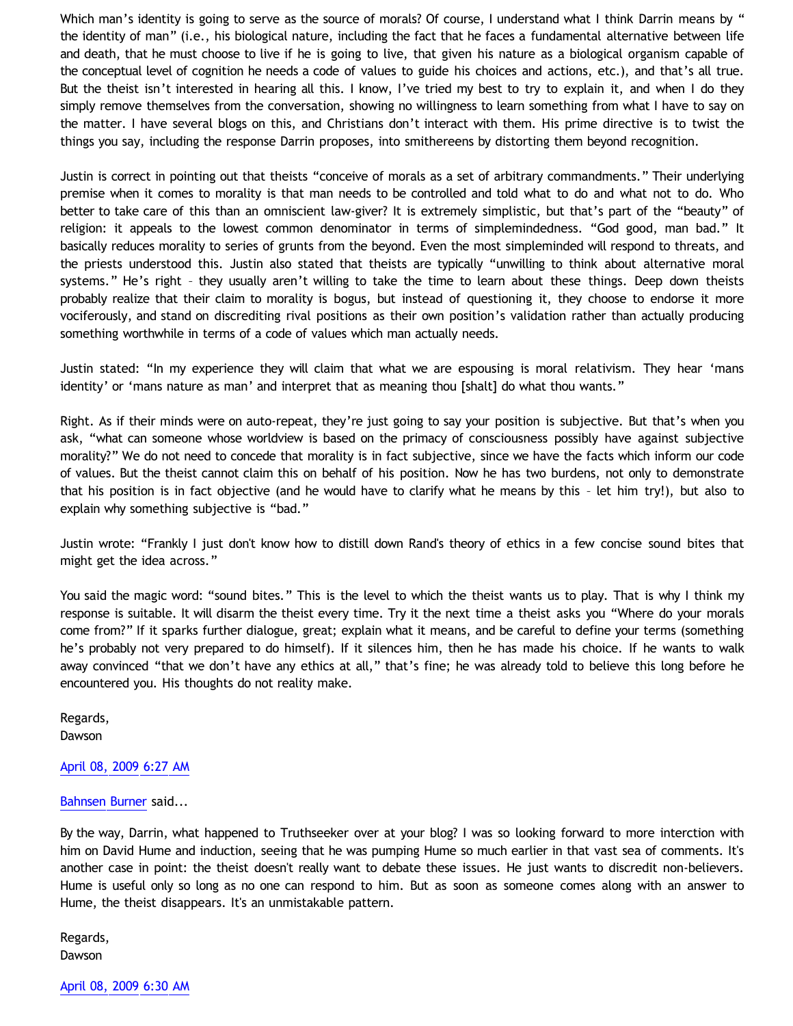Which man's identity is going to serve as the source of morals? Of course, I understand what I think Darrin means by " the identity of man" (i.e., his biological nature, including the fact that he faces a fundamental alternative between life and death, that he must choose to live if he is going to live, that given his nature as a biological organism capable of the conceptual level of cognition he needs a code of values to guide his choices and actions, etc.), and that's all true. But the theist isn't interested in hearing all this. I know, I've tried my best to try to explain it, and when I do they simply remove themselves from the conversation, showing no willingness to learn something from what I have to say on the matter. I have several blogs on this, and Christians don't interact with them. His prime directive is to twist the things you say, including the response Darrin proposes, into smithereens by distorting them beyond recognition.

Justin is correct in pointing out that theists "conceive of morals as a set of arbitrary commandments." Their underlying premise when it comes to morality is that man needs to be controlled and told what to do and what not to do. Who better to take care of this than an omniscient law-giver? It is extremely simplistic, but that's part of the "beauty" of religion: it appeals to the lowest common denominator in terms of simplemindedness. "God good, man bad." It basically reduces morality to series of grunts from the beyond. Even the most simpleminded will respond to threats, and the priests understood this. Justin also stated that theists are typically "unwilling to think about alternative moral systems." He's right – they usually aren't willing to take the time to learn about these things. Deep down theists probably realize that their claim to morality is bogus, but instead of questioning it, they choose to endorse it more vociferously, and stand on discrediting rival positions as their own position's validation rather than actually producing something worthwhile in terms of a code of values which man actually needs.

Justin stated: "In my experience they will claim that what we are espousing is moral relativism. They hear 'mans identity' or 'mans nature as man' and interpret that as meaning thou [shalt] do what thou wants."

Right. As if their minds were on auto-repeat, they're just going to say your position is subjective. But that's when you ask, "what can someone whose worldview is based on the primacy of consciousness possibly have against subjective morality?" We do not need to concede that morality is in fact subjective, since we have the facts which inform our code of values. But the theist cannot claim this on behalf of his position. Now he has two burdens, not only to demonstrate that his position is in fact objective (and he would have to clarify what he means by this – let him try!), but also to explain why something subjective is "bad."

Justin wrote: "Frankly I just don't know how to distill down Rand's theory of ethics in a few concise sound bites that might get the idea across."

You said the magic word: "sound bites." This is the level to which the theist wants us to play. That is why I think my response is suitable. It will disarm the theist every time. Try it the next time a theist asks you "Where do your morals come from?" If it sparks further dialogue, great; explain what it means, and be careful to define your terms (something he's probably not very prepared to do himself). If it silences him, then he has made his choice. If he wants to walk away convinced "that we don't have any ethics at all," that's fine; he was already told to believe this long before he encountered you. His thoughts do not reality make.

Regards, Dawson

### [April 08, 2009 6:27 AM](http://bahnsenburner.blogspot.com/2009/04/5894421605563240810)

#### [Bahnsen Burner](http://www.blogger.com/profile/11030029491768748360) said...

By the way, Darrin, what happened to Truthseeker over at your blog? I was so looking forward to more interction with him on David Hume and induction, seeing that he was pumping Hume so much earlier in that vast sea of comments. It's another case in point: the theist doesn't really want to debate these issues. He just wants to discredit non-believers. Hume is useful only so long as no one can respond to him. But as soon as someone comes along with an answer to Hume, the theist disappears. It's an unmistakable pattern.

Regards, Dawson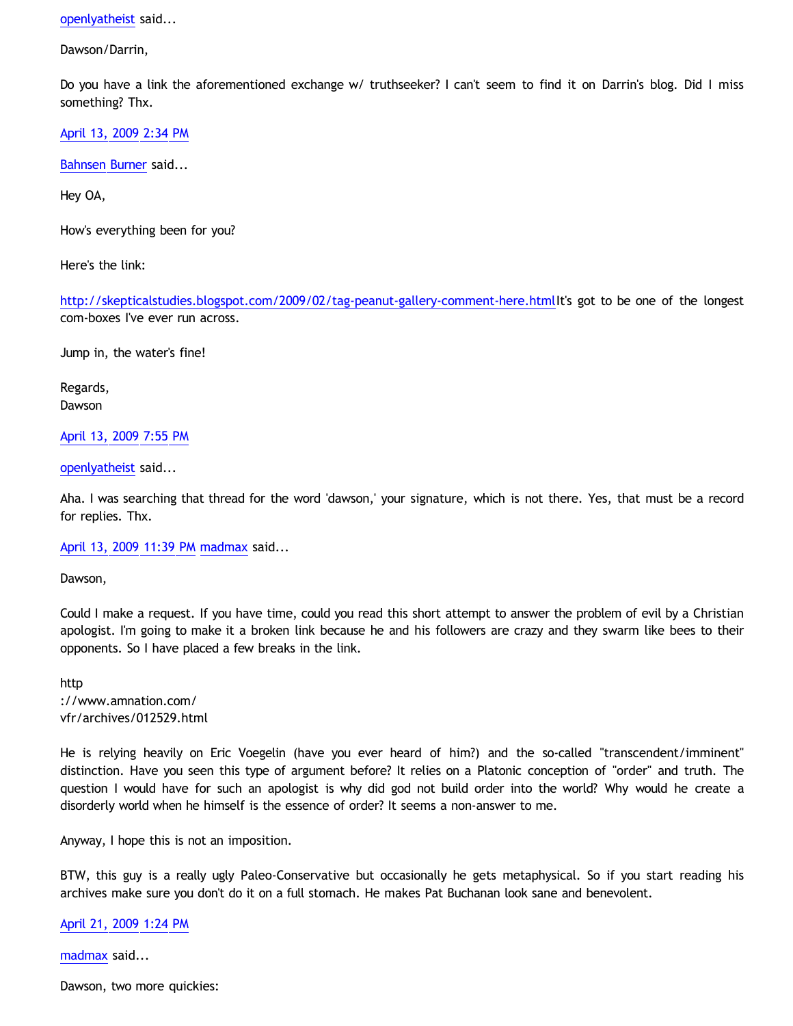[openlyatheist](http://www.blogger.com/profile/03799132607816184980) said...

Dawson/Darrin,

Do you have a link the aforementioned exchange w/ truthseeker? I can't seem to find it on Darrin's blog. Did I miss something? Thx.

[April 13, 2009 2:34 PM](http://bahnsenburner.blogspot.com/2009/04/552441635100457987)

[Bahnsen Burner](http://www.blogger.com/profile/11030029491768748360) said...

Hey OA,

How's everything been for you?

Here's the link:

[http://skepticalstudies.blogspot.com/2009/02/tag-peanut-gallery-comment-here.htmlI](http://skepticalstudies.blogspot.com/2009/02/tag-peanut-gallery-comment-here.html)t's got to be one of the longest com-boxes I've ever run across.

Jump in, the water's fine!

Regards, Dawson

[April 13, 2009 7:55 PM](http://bahnsenburner.blogspot.com/2009/04/5817875687999092801)

[openlyatheist](http://www.blogger.com/profile/03799132607816184980) said...

Aha. I was searching that thread for the word 'dawson,' your signature, which is not there. Yes, that must be a record for replies. Thx.

[April 13, 2009 11:39 PM](http://bahnsenburner.blogspot.com/2009/04/7699577040332086530) [madmax](http://www.blogger.com/profile/14375140131881725965) said...

Dawson,

Could I make a request. If you have time, could you read this short attempt to answer the problem of evil by a Christian apologist. I'm going to make it a broken link because he and his followers are crazy and they swarm like bees to their opponents. So I have placed a few breaks in the link.

http ://www.amnation.com/ vfr/archives/012529.html

He is relying heavily on Eric Voegelin (have you ever heard of him?) and the so-called "transcendent/imminent" distinction. Have you seen this type of argument before? It relies on a Platonic conception of "order" and truth. The question I would have for such an apologist is why did god not build order into the world? Why would he create a disorderly world when he himself is the essence of order? It seems a non-answer to me.

Anyway, I hope this is not an imposition.

BTW, this guy is a really ugly Paleo-Conservative but occasionally he gets metaphysical. So if you start reading his archives make sure you don't do it on a full stomach. He makes Pat Buchanan look sane and benevolent.

[April 21, 2009 1:24 PM](http://bahnsenburner.blogspot.com/2009/04/9104030879294954092)

[madmax](http://www.blogger.com/profile/14375140131881725965) said...

Dawson, two more quickies: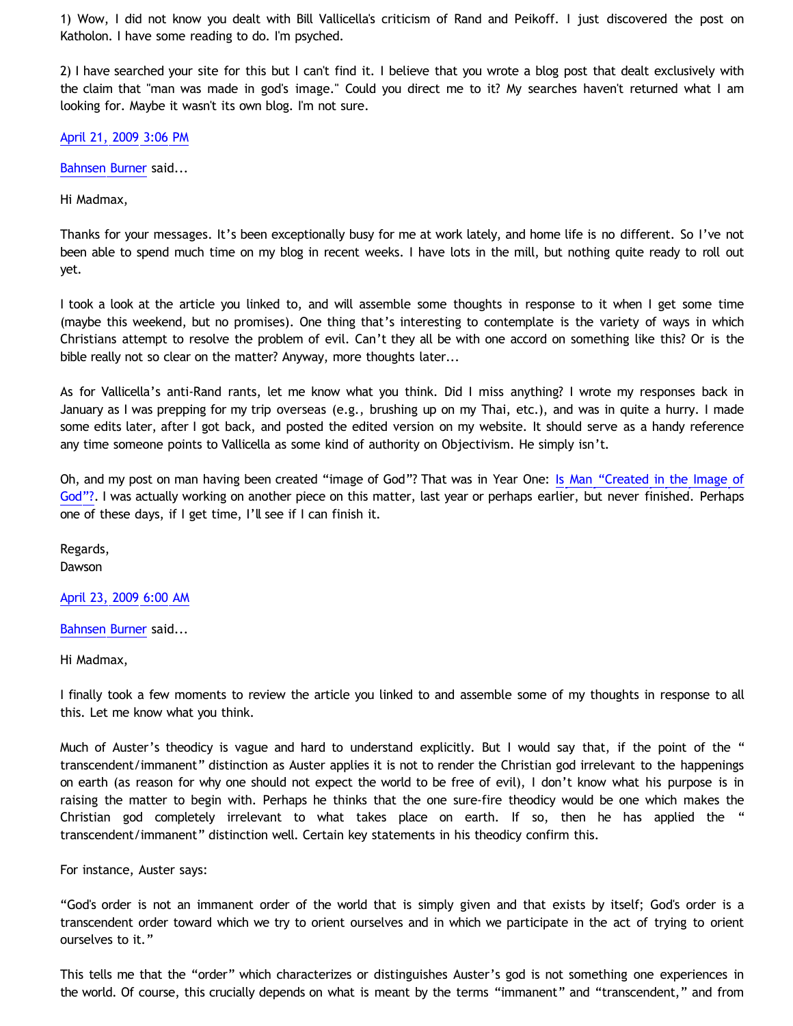1) Wow, I did not know you dealt with Bill Vallicella's criticism of Rand and Peikoff. I just discovered the post on Katholon. I have some reading to do. I'm psyched.

2) I have searched your site for this but I can't find it. I believe that you wrote a blog post that dealt exclusively with the claim that "man was made in god's image." Could you direct me to it? My searches haven't returned what I am looking for. Maybe it wasn't its own blog. I'm not sure.

[April 21, 2009 3:06 PM](http://bahnsenburner.blogspot.com/2009/04/2507847212759836442)

[Bahnsen Burner](http://www.blogger.com/profile/11030029491768748360) said...

Hi Madmax,

Thanks for your messages. It's been exceptionally busy for me at work lately, and home life is no different. So I've not been able to spend much time on my blog in recent weeks. I have lots in the mill, but nothing quite ready to roll out yet.

I took a look at the article you linked to, and will assemble some thoughts in response to it when I get some time (maybe this weekend, but no promises). One thing that's interesting to contemplate is the variety of ways in which Christians attempt to resolve the problem of evil. Can't they all be with one accord on something like this? Or is the bible really not so clear on the matter? Anyway, more thoughts later...

As for Vallicella's anti-Rand rants, let me know what you think. Did I miss anything? I wrote my responses back in January as I was prepping for my trip overseas (e.g., brushing up on my Thai, etc.), and was in quite a hurry. I made some edits later, after I got back, and posted the edited version on my website. It should serve as a handy reference any time someone points to Vallicella as some kind of authority on Objectivism. He simply isn't.

Oh, and my post on man having been created "image of God"? That was in Year One: [Is Man](http://bahnsenburner.blogspot.com/2005/05/is-man-created-in-image-of-god.html) ["Created in the Image of](http://bahnsenburner.blogspot.com/2005/05/is-man-created-in-image-of-god.html) [God"?.](http://bahnsenburner.blogspot.com/2005/05/is-man-created-in-image-of-god.html) I was actually working on another piece on this matter, last year or perhaps earlier, but never finished. Perhaps one of these days, if I get time, I'll see if I can finish it.

Regards, Dawson

[April 23, 2009 6:00 AM](http://bahnsenburner.blogspot.com/2009/04/5068160758425855494)

[Bahnsen Burner](http://www.blogger.com/profile/11030029491768748360) said...

Hi Madmax,

I finally took a few moments to review the article you linked to and assemble some of my thoughts in response to all this. Let me know what you think.

Much of Auster's theodicy is vague and hard to understand explicitly. But I would say that, if the point of the " transcendent/immanent" distinction as Auster applies it is not to render the Christian god irrelevant to the happenings on earth (as reason for why one should not expect the world to be free of evil), I don't know what his purpose is in raising the matter to begin with. Perhaps he thinks that the one sure-fire theodicy would be one which makes the Christian god completely irrelevant to what takes place on earth. If so, then he has applied the " transcendent/immanent" distinction well. Certain key statements in his theodicy confirm this.

For instance, Auster says:

"God's order is not an immanent order of the world that is simply given and that exists by itself; God's order is a transcendent order toward which we try to orient ourselves and in which we participate in the act of trying to orient ourselves to it."

This tells me that the "order" which characterizes or distinguishes Auster's god is not something one experiences in the world. Of course, this crucially depends on what is meant by the terms "immanent" and "transcendent," and from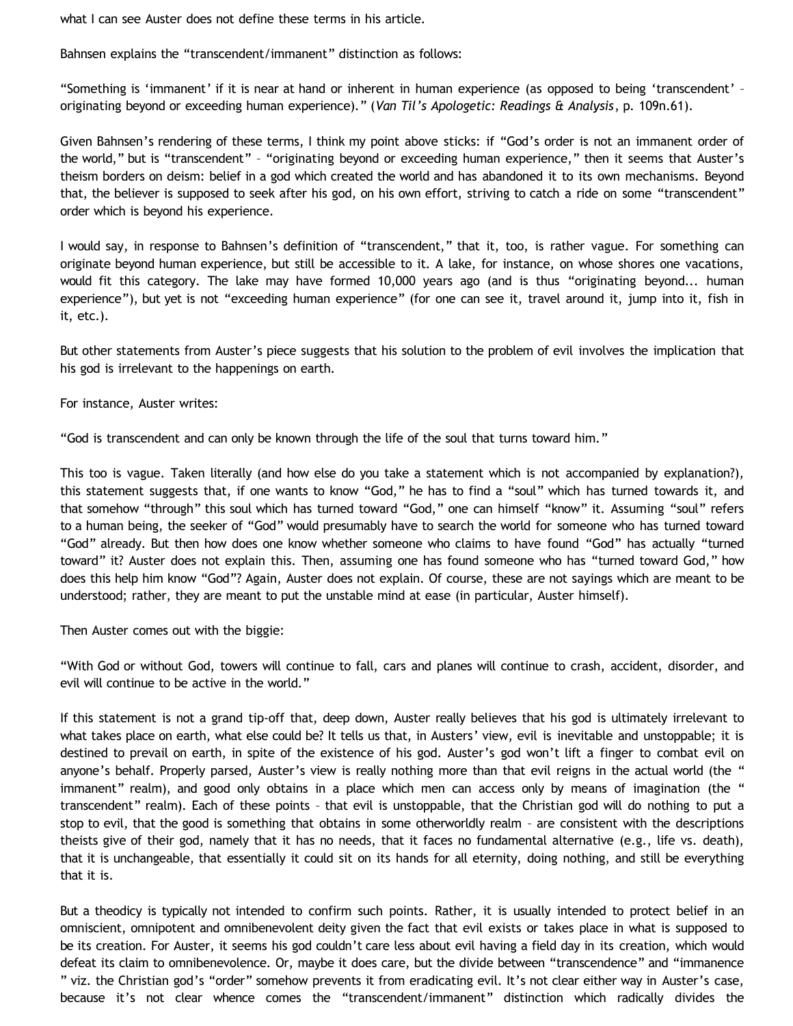what I can see Auster does not define these terms in his article.

Bahnsen explains the "transcendent/immanent" distinction as follows:

"Something is 'immanent' if it is near at hand or inherent in human experience (as opposed to being 'transcendent' – originating beyond or exceeding human experience)." (*Van Til's Apologetic: Readings & Analysis*, p. 109n.61).

Given Bahnsen's rendering of these terms, I think my point above sticks: if "God's order is not an immanent order of the world," but is "transcendent" – "originating beyond or exceeding human experience," then it seems that Auster's theism borders on deism: belief in a god which created the world and has abandoned it to its own mechanisms. Beyond that, the believer is supposed to seek after his god, on his own effort, striving to catch a ride on some "transcendent" order which is beyond his experience.

I would say, in response to Bahnsen's definition of "transcendent," that it, too, is rather vague. For something can originate beyond human experience, but still be accessible to it. A lake, for instance, on whose shores one vacations, would fit this category. The lake may have formed 10,000 years ago (and is thus "originating beyond... human experience"), but yet is not "exceeding human experience" (for one can see it, travel around it, jump into it, fish in it, etc.).

But other statements from Auster's piece suggests that his solution to the problem of evil involves the implication that his god is irrelevant to the happenings on earth.

For instance, Auster writes:

"God is transcendent and can only be known through the life of the soul that turns toward him."

This too is vague. Taken literally (and how else do you take a statement which is not accompanied by explanation?), this statement suggests that, if one wants to know "God," he has to find a "soul" which has turned towards it, and that somehow "through" this soul which has turned toward "God," one can himself "know" it. Assuming "soul" refers to a human being, the seeker of "God" would presumably have to search the world for someone who has turned toward "God" already. But then how does one know whether someone who claims to have found "God" has actually "turned toward" it? Auster does not explain this. Then, assuming one has found someone who has "turned toward God," how does this help him know "God"? Again, Auster does not explain. Of course, these are not sayings which are meant to be understood; rather, they are meant to put the unstable mind at ease (in particular, Auster himself).

Then Auster comes out with the biggie:

"With God or without God, towers will continue to fall, cars and planes will continue to crash, accident, disorder, and evil will continue to be active in the world."

If this statement is not a grand tip-off that, deep down, Auster really believes that his god is ultimately irrelevant to what takes place on earth, what else could be? It tells us that, in Austers' view, evil is inevitable and unstoppable; it is destined to prevail on earth, in spite of the existence of his god. Auster's god won't lift a finger to combat evil on anyone's behalf. Properly parsed, Auster's view is really nothing more than that evil reigns in the actual world (the " immanent" realm), and good only obtains in a place which men can access only by means of imagination (the " transcendent" realm). Each of these points – that evil is unstoppable, that the Christian god will do nothing to put a stop to evil, that the good is something that obtains in some otherworldly realm – are consistent with the descriptions theists give of their god, namely that it has no needs, that it faces no fundamental alternative (e.g., life vs. death), that it is unchangeable, that essentially it could sit on its hands for all eternity, doing nothing, and still be everything that it is.

But a theodicy is typically not intended to confirm such points. Rather, it is usually intended to protect belief in an omniscient, omnipotent and omnibenevolent deity given the fact that evil exists or takes place in what is supposed to be its creation. For Auster, it seems his god couldn't care less about evil having a field day in its creation, which would defeat its claim to omnibenevolence. Or, maybe it does care, but the divide between "transcendence" and "immanence " viz. the Christian god's "order" somehow prevents it from eradicating evil. It's not clear either way in Auster's case, because it's not clear whence comes the "transcendent/immanent" distinction which radically divides the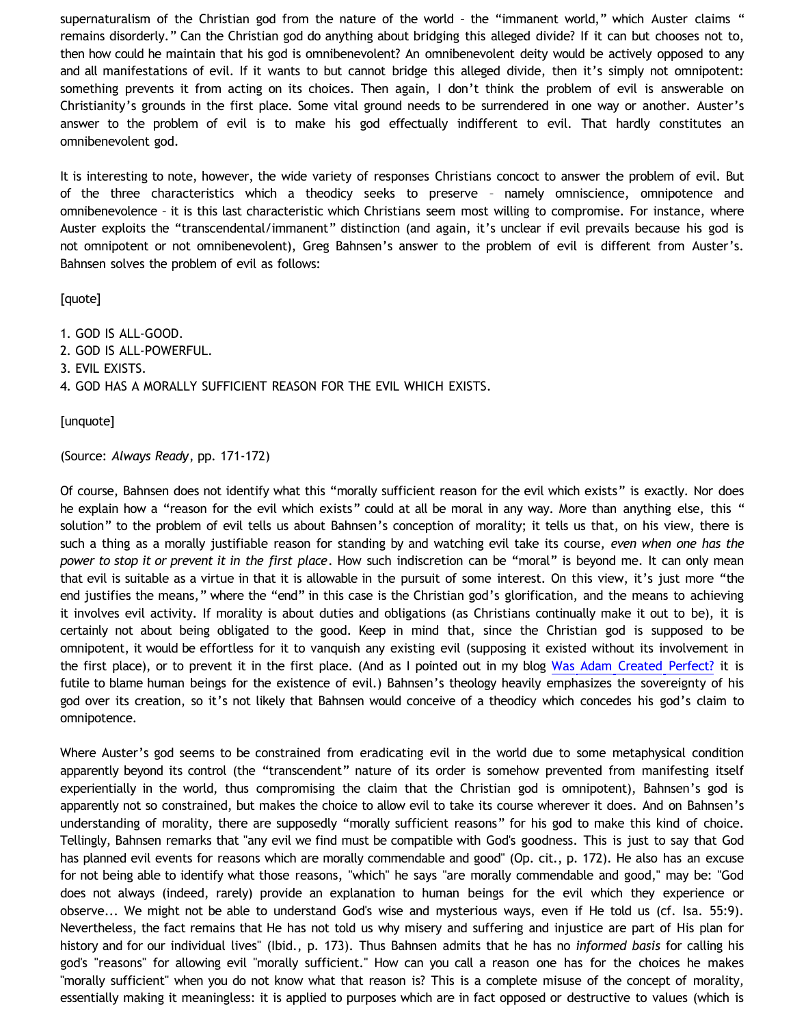supernaturalism of the Christian god from the nature of the world - the "immanent world," which Auster claims " remains disorderly." Can the Christian god do anything about bridging this alleged divide? If it can but chooses not to, then how could he maintain that his god is omnibenevolent? An omnibenevolent deity would be actively opposed to any and all manifestations of evil. If it wants to but cannot bridge this alleged divide, then it's simply not omnipotent: something prevents it from acting on its choices. Then again, I don't think the problem of evil is answerable on Christianity's grounds in the first place. Some vital ground needs to be surrendered in one way or another. Auster's answer to the problem of evil is to make his god effectually indifferent to evil. That hardly constitutes an omnibenevolent god.

It is interesting to note, however, the wide variety of responses Christians concoct to answer the problem of evil. But of the three characteristics which a theodicy seeks to preserve – namely omniscience, omnipotence and omnibenevolence – it is this last characteristic which Christians seem most willing to compromise. For instance, where Auster exploits the "transcendental/immanent" distinction (and again, it's unclear if evil prevails because his god is not omnipotent or not omnibenevolent), Greg Bahnsen's answer to the problem of evil is different from Auster's. Bahnsen solves the problem of evil as follows:

[quote]

1. GOD IS ALL-GOOD.

- 2. GOD IS ALL-POWERFUL.
- 3. EVIL EXISTS.

4. GOD HAS A MORALLY SUFFICIENT REASON FOR THE EVIL WHICH EXISTS.

[unquote]

(Source: *Always Ready*, pp. 171-172)

Of course, Bahnsen does not identify what this "morally sufficient reason for the evil which exists" is exactly. Nor does he explain how a "reason for the evil which exists" could at all be moral in any way. More than anything else, this " solution" to the problem of evil tells us about Bahnsen's conception of morality; it tells us that, on his view, there is such a thing as a morally justifiable reason for standing by and watching evil take its course, *even when one has the power to stop it or prevent it in the first place*. How such indiscretion can be "moral" is beyond me. It can only mean that evil is suitable as a virtue in that it is allowable in the pursuit of some interest. On this view, it's just more "the end justifies the means," where the "end" in this case is the Christian god's glorification, and the means to achieving it involves evil activity. If morality is about duties and obligations (as Christians continually make it out to be), it is certainly not about being obligated to the good. Keep in mind that, since the Christian god is supposed to be omnipotent, it would be effortless for it to vanquish any existing evil (supposing it existed without its involvement in the first place), or to prevent it in the first place. (And as I pointed out in my blog [Was Adam Created Perfect?](http://bahnsenburner.blogspot.com/2009/03/was-adam-created-perfect.html) it is futile to blame human beings for the existence of evil.) Bahnsen's theology heavily emphasizes the sovereignty of his god over its creation, so it's not likely that Bahnsen would conceive of a theodicy which concedes his god's claim to omnipotence.

Where Auster's god seems to be constrained from eradicating evil in the world due to some metaphysical condition apparently beyond its control (the "transcendent" nature of its order is somehow prevented from manifesting itself experientially in the world, thus compromising the claim that the Christian god is omnipotent), Bahnsen's god is apparently not so constrained, but makes the choice to allow evil to take its course wherever it does. And on Bahnsen's understanding of morality, there are supposedly "morally sufficient reasons" for his god to make this kind of choice. Tellingly, Bahnsen remarks that "any evil we find must be compatible with God's goodness. This is just to say that God has planned evil events for reasons which are morally commendable and good" (Op. cit., p. 172). He also has an excuse for not being able to identify what those reasons, "which" he says "are morally commendable and good," may be: "God does not always (indeed, rarely) provide an explanation to human beings for the evil which they experience or observe... We might not be able to understand God's wise and mysterious ways, even if He told us (cf. Isa. 55:9). Nevertheless, the fact remains that He has not told us why misery and suffering and injustice are part of His plan for history and for our individual lives" (Ibid., p. 173). Thus Bahnsen admits that he has no *informed basis* for calling his god's "reasons" for allowing evil "morally sufficient." How can you call a reason one has for the choices he makes "morally sufficient" when you do not know what that reason is? This is a complete misuse of the concept of morality, essentially making it meaningless: it is applied to purposes which are in fact opposed or destructive to values (which is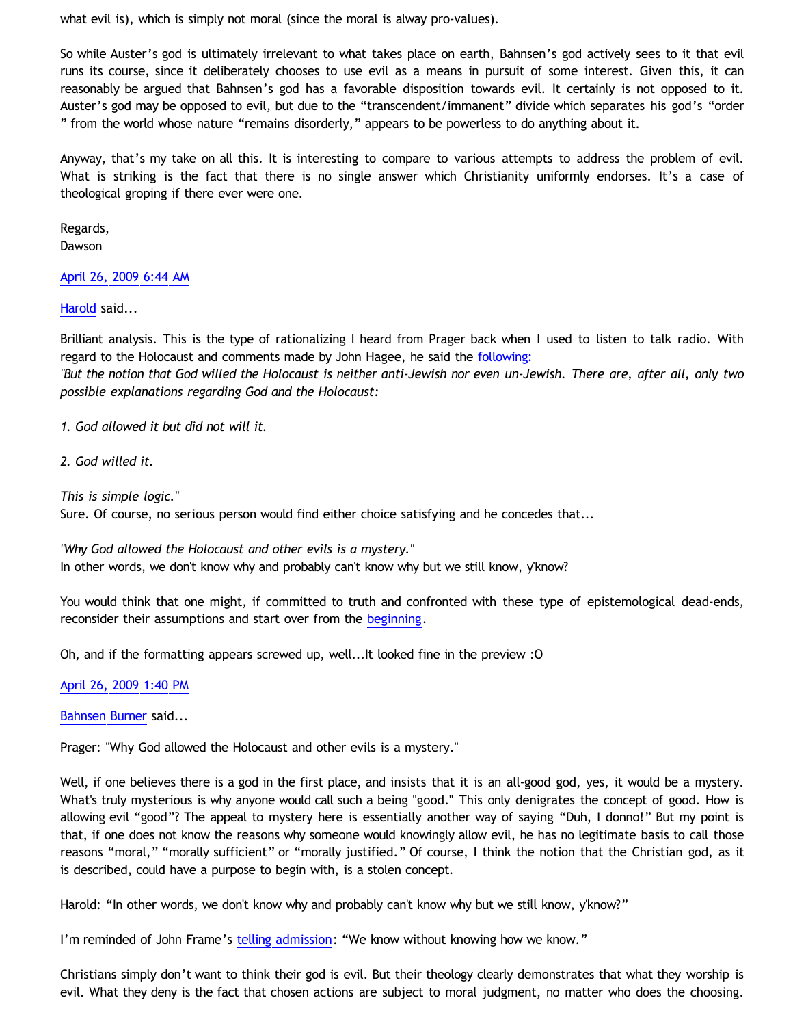what evil is), which is simply not moral (since the moral is alway pro-values).

So while Auster's god is ultimately irrelevant to what takes place on earth, Bahnsen's god actively sees to it that evil runs its course, since it deliberately chooses to use evil as a means in pursuit of some interest. Given this, it can reasonably be argued that Bahnsen's god has a favorable disposition towards evil. It certainly is not opposed to it. Auster's god may be opposed to evil, but due to the "transcendent/immanent" divide which separates his god's "order " from the world whose nature "remains disorderly," appears to be powerless to do anything about it.

Anyway, that's my take on all this. It is interesting to compare to various attempts to address the problem of evil. What is striking is the fact that there is no single answer which Christianity uniformly endorses. It's a case of theological groping if there ever were one.

Regards, **Dawson** 

## [April 26, 2009 6:44 AM](http://bahnsenburner.blogspot.com/2009/04/8868761862140282831)

[Harold](http://www.blogger.com/profile/10897769844874861468) said...

Brilliant analysis. This is the type of rationalizing I heard from Prager back when I used to listen to talk radio. With regard to the Holocaust and comments made by John Hagee, he said the [following:](http://www.creators.com/opinion/dennis-prager/god-the-holocaust-and-a-pastor.html)

*"But the notion that God willed the Holocaust is neither anti-Jewish nor even un-Jewish. There are, after all, only two possible explanations regarding God and the Holocaust:*

*1. God allowed it but did not will it.*

*2. God willed it.*

*This is simple logic."*

Sure. Of course, no serious person would find either choice satisfying and he concedes that...

*"Why God allowed the Holocaust and other evils is a mystery."* In other words, we don't know why and probably can't know why but we still know, y'know?

You would think that one might, if committed to truth and confronted with these type of epistemological dead-ends, reconsider their assumptions and start over from the [beginning](http://aynrandlexicon.com/ayn-rand-ideas/suggested-reading.html).

Oh, and if the formatting appears screwed up, well...It looked fine in the preview :O

[April 26, 2009 1:40 PM](http://bahnsenburner.blogspot.com/2009/04/2372871037827141705)

[Bahnsen Burner](http://www.blogger.com/profile/11030029491768748360) said...

Prager: "Why God allowed the Holocaust and other evils is a mystery."

Well, if one believes there is a god in the first place, and insists that it is an all-good god, yes, it would be a mystery. What's truly mysterious is why anyone would call such a being "good." This only denigrates the concept of good. How is allowing evil "good"? The appeal to mystery here is essentially another way of saying "Duh, I donno!" But my point is that, if one does not know the reasons why someone would knowingly allow evil, he has no legitimate basis to call those reasons "moral," "morally sufficient" or "morally justified." Of course, I think the notion that the Christian god, as it is described, could have a purpose to begin with, is a stolen concept.

Harold: "In other words, we don't know why and probably can't know why but we still know, y'know?"

I'm reminded of John Frame's [telling admission](http://www.thirdmill.org/files/english/html/pt/PT.h.Frame.Presupp.Apol.1.html): "We know without knowing how we know."

Christians simply don't want to think their god is evil. But their theology clearly demonstrates that what they worship is evil. What they deny is the fact that chosen actions are subject to moral judgment, no matter who does the choosing.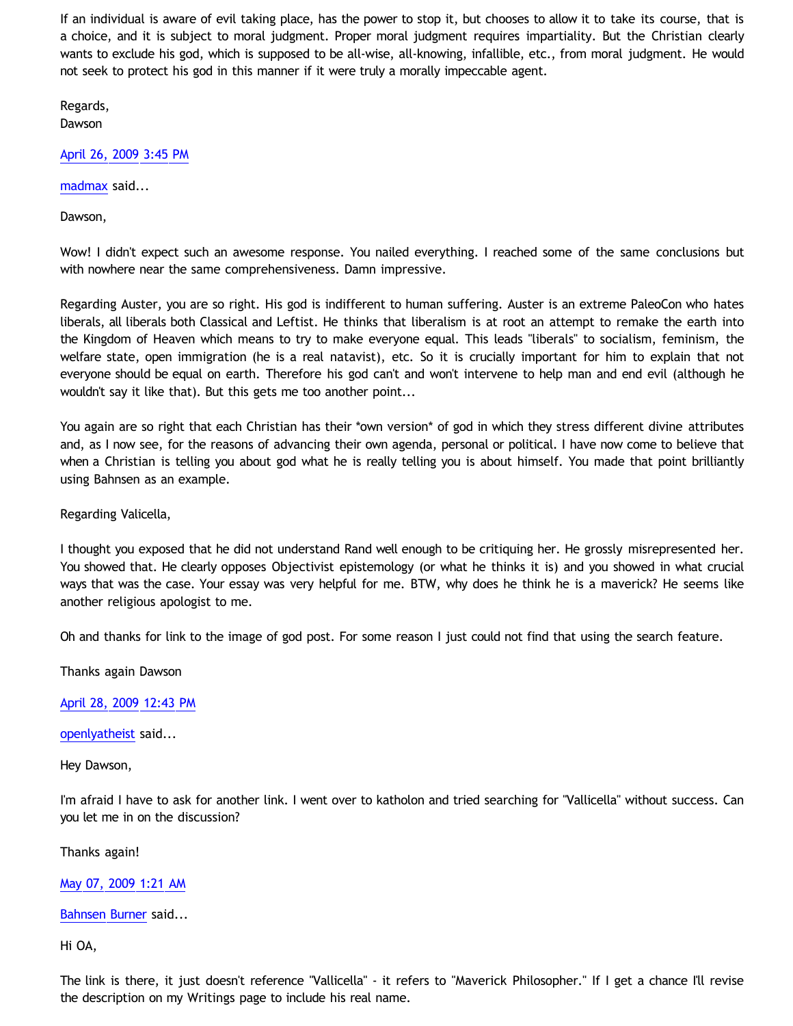If an individual is aware of evil taking place, has the power to stop it, but chooses to allow it to take its course, that is a choice, and it is subject to moral judgment. Proper moral judgment requires impartiality. But the Christian clearly wants to exclude his god, which is supposed to be all-wise, all-knowing, infallible, etc., from moral judgment. He would not seek to protect his god in this manner if it were truly a morally impeccable agent.

Regards, **Dawson** 

[April 26, 2009 3:45 PM](http://bahnsenburner.blogspot.com/2009/04/6347866351451346977)

[madmax](http://www.blogger.com/profile/14375140131881725965) said...

Dawson,

Wow! I didn't expect such an awesome response. You nailed everything. I reached some of the same conclusions but with nowhere near the same comprehensiveness. Damn impressive.

Regarding Auster, you are so right. His god is indifferent to human suffering. Auster is an extreme PaleoCon who hates liberals, all liberals both Classical and Leftist. He thinks that liberalism is at root an attempt to remake the earth into the Kingdom of Heaven which means to try to make everyone equal. This leads "liberals" to socialism, feminism, the welfare state, open immigration (he is a real natavist), etc. So it is crucially important for him to explain that not everyone should be equal on earth. Therefore his god can't and won't intervene to help man and end evil (although he wouldn't say it like that). But this gets me too another point...

You again are so right that each Christian has their \*own version\* of god in which they stress different divine attributes and, as I now see, for the reasons of advancing their own agenda, personal or political. I have now come to believe that when a Christian is telling you about god what he is really telling you is about himself. You made that point brilliantly using Bahnsen as an example.

Regarding Valicella,

I thought you exposed that he did not understand Rand well enough to be critiquing her. He grossly misrepresented her. You showed that. He clearly opposes Objectivist epistemology (or what he thinks it is) and you showed in what crucial ways that was the case. Your essay was very helpful for me. BTW, why does he think he is a maverick? He seems like another religious apologist to me.

Oh and thanks for link to the image of god post. For some reason I just could not find that using the search feature.

Thanks again Dawson

[April 28, 2009 12:43 PM](http://bahnsenburner.blogspot.com/2009/04/2203281410726703708)

[openlyatheist](http://www.blogger.com/profile/03799132607816184980) said...

Hey Dawson,

I'm afraid I have to ask for another link. I went over to katholon and tried searching for "Vallicella" without success. Can you let me in on the discussion?

Thanks again!

[May 07, 2009 1:21 AM](http://bahnsenburner.blogspot.com/2009/04/83835243064074286)

[Bahnsen Burner](http://www.blogger.com/profile/11030029491768748360) said...

Hi OA,

The link is there, it just doesn't reference "Vallicella" - it refers to "Maverick Philosopher." If I get a chance I'll revise the description on my Writings page to include his real name.